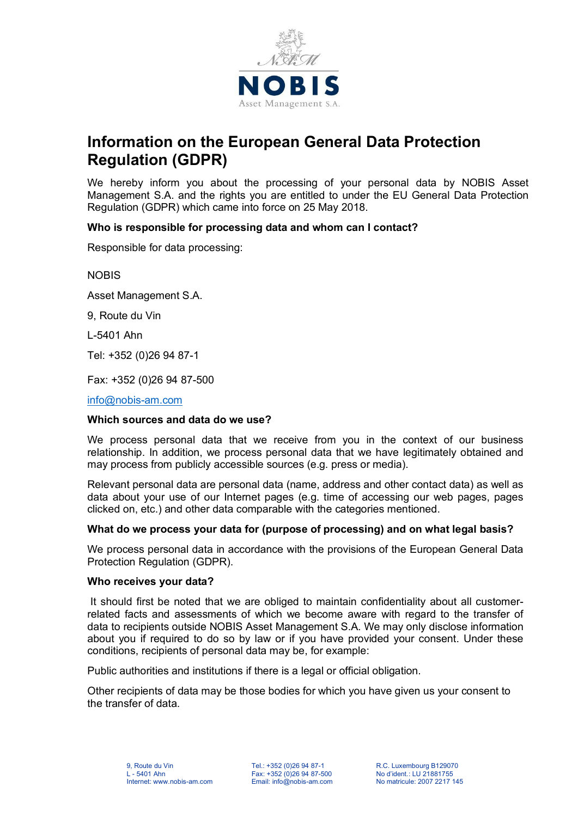

# **Information on the European General Data Protection Regulation (GDPR)**

We hereby inform you about the processing of your personal data by NOBIS Asset Management S.A. and the rights you are entitled to under the EU General Data Protection Regulation (GDPR) which came into force on 25 May 2018.

## **Who is responsible for processing data and whom can I contact?**

Responsible for data processing:

**NOBIS** 

Asset Management S.A.

9, Route du Vin

L-5401 Ahn

Tel: +352 (0)26 94 87-1

Fax: +352 (0)26 94 87-500

[info@nobis-am.com](mailto:info@nobis-am.com)

#### **Which sources and data do we use?**

We process personal data that we receive from you in the context of our business relationship. In addition, we process personal data that we have legitimately obtained and may process from publicly accessible sources (e.g. press or media).

Relevant personal data are personal data (name, address and other contact data) as well as data about your use of our Internet pages (e.g. time of accessing our web pages, pages clicked on, etc.) and other data comparable with the categories mentioned.

## **What do we process your data for (purpose of processing) and on what legal basis?**

We process personal data in accordance with the provisions of the European General Data Protection Regulation (GDPR).

#### **Who receives your data?**

It should first be noted that we are obliged to maintain confidentiality about all customerrelated facts and assessments of which we become aware with regard to the transfer of data to recipients outside NOBIS Asset Management S.A. We may only disclose information about you if required to do so by law or if you have provided your consent. Under these conditions, recipients of personal data may be, for example:

Public authorities and institutions if there is a legal or official obligation.

Other recipients of data may be those bodies for which you have given us your consent to the transfer of data.